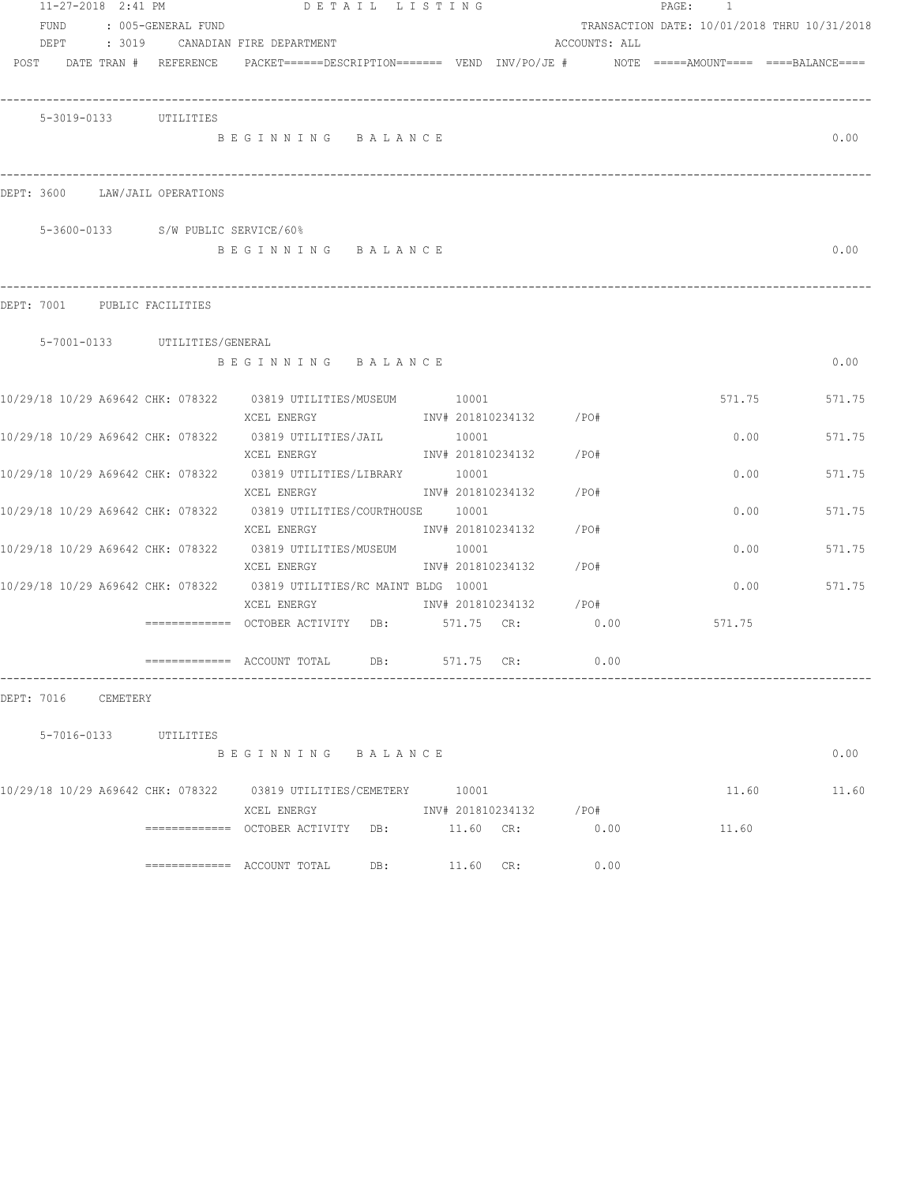| 11-27-2018 2:41 PM                 |                    | DETAIL LISTING                                                                                                              |                                     |               | PAGE: 1                                      |        |
|------------------------------------|--------------------|-----------------------------------------------------------------------------------------------------------------------------|-------------------------------------|---------------|----------------------------------------------|--------|
| FUND                               | : 005-GENERAL FUND |                                                                                                                             |                                     |               | TRANSACTION DATE: 10/01/2018 THRU 10/31/2018 |        |
|                                    |                    | DEPT : 3019 CANADIAN FIRE DEPARTMENT                                                                                        |                                     | ACCOUNTS: ALL |                                              |        |
| POST DATE TRAN # REFERENCE         |                    | PACKET======DESCRIPTION======= VEND INV/PO/JE #    NOTE =====AMOUNT==== ====BALANCE====                                     |                                     |               |                                              |        |
| 5-3019-0133 UTILITIES              |                    |                                                                                                                             |                                     |               |                                              |        |
|                                    |                    | BEGINNING BALANCE                                                                                                           |                                     |               |                                              | 0.00   |
| DEPT: 3600 LAW/JAIL OPERATIONS     |                    |                                                                                                                             |                                     |               |                                              |        |
| 5-3600-0133 S/W PUBLIC SERVICE/60% |                    |                                                                                                                             |                                     |               |                                              |        |
|                                    |                    | BEGINNING BALANCE                                                                                                           |                                     |               |                                              | 0.00   |
| DEPT: 7001 PUBLIC FACILITIES       |                    |                                                                                                                             |                                     |               |                                              |        |
| 5-7001-0133 UTILITIES/GENERAL      |                    |                                                                                                                             |                                     |               |                                              |        |
|                                    |                    | BEGINNING BALANCE                                                                                                           |                                     |               |                                              | 0.00   |
|                                    |                    | 10/29/18 10/29 A69642 CHK: 078322 03819 UTILITIES/MUSEUM 10001<br>XCEL ENERGY                                               | INV# 201810234132 /PO#              |               | 571.75                                       | 571.75 |
|                                    |                    | 10/29/18 10/29 A69642 CHK: 078322 03819 UTILITIES/JAIL 10001<br>XCEL ENERGY                                                 | INV# 201810234132 /PO#              |               | 0.00                                         | 571.75 |
|                                    |                    | 10/29/18 10/29 A69642 CHK: 078322 03819 UTILITIES/LIBRARY 10001<br>XCEL ENERGY                                              | INV# 201810234132                   | /PO#          | 0.00                                         | 571.75 |
|                                    |                    | 10/29/18 10/29 A69642 CHK: 078322 03819 UTILITIES/COURTHOUSE 10001                                                          |                                     |               | 0.00                                         | 571.75 |
|                                    |                    | XCEL ENERGY<br>10/29/18 10/29 A69642 CHK: 078322 03819 UTILITIES/MUSEUM 10001                                               | INV# 201810234132 / PO#             |               | 0.00                                         | 571.75 |
|                                    |                    | XCEL ENERGY<br>10/29/18 10/29 A69642 CHK: 078322 03819 UTILITIES/RC MAINT BLDG 10001                                        | INV# 201810234132 /PO#              |               | 0.00                                         | 571.75 |
|                                    |                    | XCEL ENERGY                               INV# 201810234132           /PO#<br>============= OCTOBER ACTIVITY DB: 571.75 CR: |                                     | 0.00          | 571.75                                       |        |
|                                    |                    |                                                                                                                             | DB: 571.75 CR:                      | 0.00          |                                              |        |
| DEPT: 7016<br>CEMETERY             |                    |                                                                                                                             |                                     |               |                                              |        |
|                                    |                    |                                                                                                                             |                                     |               |                                              |        |
| 5-7016-0133 UTILITIES              |                    | BEGINNING BALANCE                                                                                                           |                                     |               |                                              | 0.00   |
|                                    |                    | 10/29/18 10/29 A69642 CHK: 078322 03819 UTILITIES/CEMETERY 10001                                                            |                                     |               | 11.60                                        | 11.60  |
|                                    |                    | XCEL ENERGY                                                                                                                 | INV# 201810234132 /PO#<br>11.60 CR: | 0.00          | 11.60                                        |        |
|                                    |                    | DB:                                                                                                                         | 11.60 CR:                           | 0.00          |                                              |        |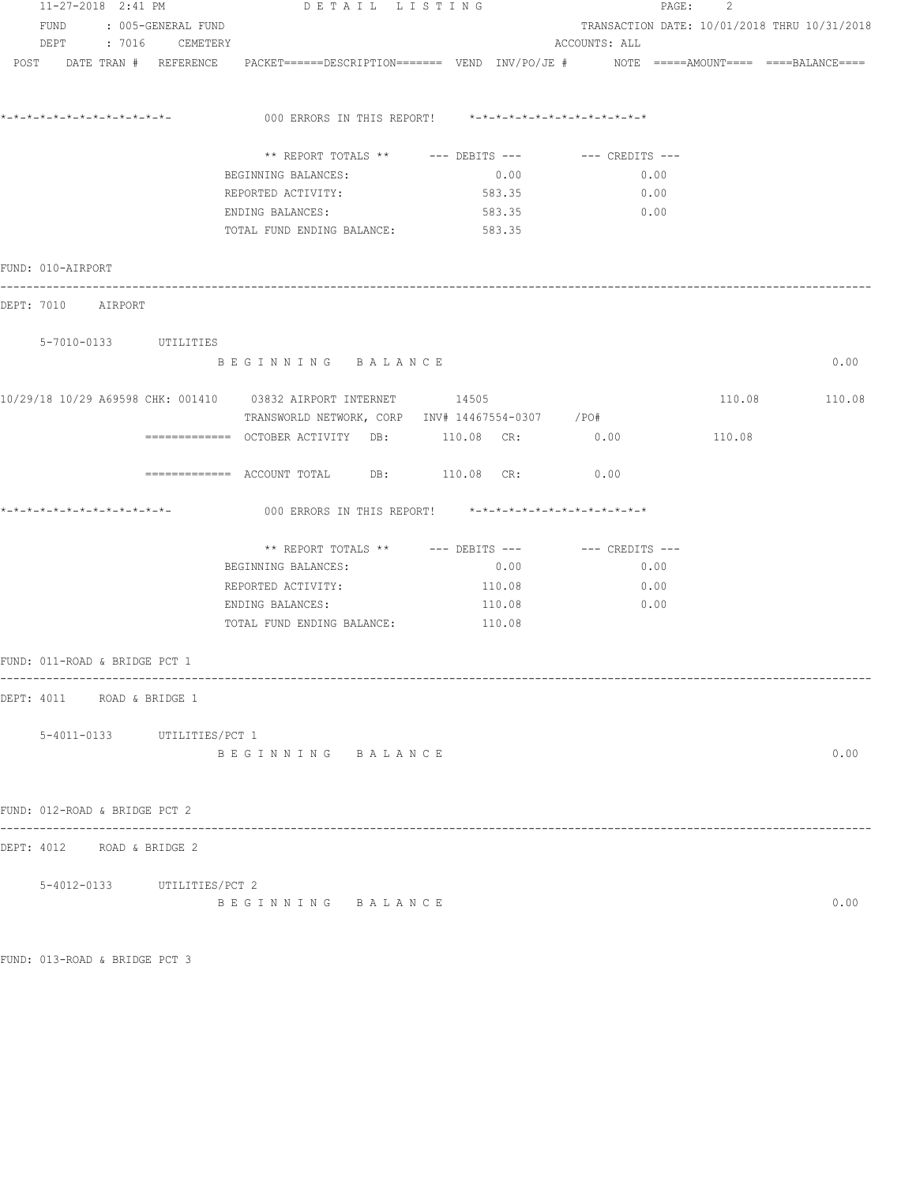| 11-27-2018 2:41 PM         |                               |  | DETAIL LISTING              |                                                                                                                 |        | PAGE: 2                                      |        |               |  |
|----------------------------|-------------------------------|--|-----------------------------|-----------------------------------------------------------------------------------------------------------------|--------|----------------------------------------------|--------|---------------|--|
| FUND<br>: 005-GENERAL FUND |                               |  |                             |                                                                                                                 |        | TRANSACTION DATE: 10/01/2018 THRU 10/31/2018 |        |               |  |
|                            |                               |  | DEPT : 7016 CEMETERY        |                                                                                                                 |        | ACCOUNTS: ALL                                |        |               |  |
|                            |                               |  |                             | POST DATE TRAN # REFERENCE PACKET======DESCRIPTION======= VEND INV/PO/JE # NOTE =====AMOUNT==== ====BALANCE==== |        |                                              |        |               |  |
|                            |                               |  |                             | 000 ERRORS IN THIS REPORT! $*-*-*-*-*-*-*-*-*-*-*-*-*-*-**$                                                     |        |                                              |        |               |  |
|                            |                               |  |                             | ** REPORT TOTALS ** --- DEBITS --- -- CREDITS ---                                                               |        |                                              |        |               |  |
|                            |                               |  |                             | BEGINNING BALANCES:                                                                                             | 0.00   | 0.00                                         |        |               |  |
|                            |                               |  |                             | REPORTED ACTIVITY:                                                                                              | 583.35 | 0.00                                         |        |               |  |
|                            |                               |  |                             | ENDING BALANCES:                                                                                                | 583.35 | 0.00                                         |        |               |  |
|                            |                               |  |                             | TOTAL FUND ENDING BALANCE:                                                                                      | 583.35 |                                              |        |               |  |
|                            | FUND: 010-AIRPORT             |  |                             |                                                                                                                 |        |                                              |        |               |  |
|                            | DEPT: 7010 AIRPORT            |  |                             |                                                                                                                 |        |                                              |        |               |  |
|                            |                               |  | 5-7010-0133 UTILITIES       |                                                                                                                 |        |                                              |        |               |  |
|                            |                               |  |                             | BEGINNING BALANCE                                                                                               |        |                                              |        | 0.00          |  |
|                            |                               |  |                             | TRANSWORLD NETWORK, CORP INV# 14467554-0307 / PO#                                                               |        |                                              |        | 110.08 110.08 |  |
|                            |                               |  |                             | ============ OCTOBER ACTIVITY DB: 110.08 CR: 0.00                                                               |        |                                              | 110.08 |               |  |
|                            |                               |  |                             | ------------- ACCOUNT TOTAL DB: 110.08 CR:                                                                      |        | 0.00                                         |        |               |  |
|                            |                               |  |                             | 000 ERRORS IN THIS REPORT! *-*-*-*-*-*-*-*-*-*-*-*-*-*-                                                         |        |                                              |        |               |  |
|                            |                               |  |                             | ** REPORT TOTALS ** --- DEBITS --- -- CREDITS ---                                                               |        |                                              |        |               |  |
|                            |                               |  |                             | BEGINNING BALANCES:                                                                                             | 0.00   | 0.00                                         |        |               |  |
|                            |                               |  |                             | REPORTED ACTIVITY:                                                                                              | 110.08 | 0.00                                         |        |               |  |
|                            |                               |  |                             | ENDING BALANCES:                                                                                                | 110.08 | 0.00                                         |        |               |  |
|                            |                               |  |                             | TOTAL FUND ENDING BALANCE: 110.08                                                                               |        |                                              |        |               |  |
|                            | FUND: 011-ROAD & BRIDGE PCT 1 |  |                             |                                                                                                                 |        |                                              |        |               |  |
|                            | DEPT: 4011 ROAD & BRIDGE 1    |  |                             |                                                                                                                 |        |                                              |        |               |  |
|                            |                               |  | 5-4011-0133 UTILITIES/PCT 1 |                                                                                                                 |        |                                              |        |               |  |
|                            |                               |  |                             | BEGINNING BALANCE                                                                                               |        |                                              |        | 0.00          |  |
|                            | FUND: 012-ROAD & BRIDGE PCT 2 |  |                             |                                                                                                                 |        |                                              |        |               |  |
|                            | DEPT: 4012 ROAD & BRIDGE 2    |  |                             |                                                                                                                 |        |                                              |        |               |  |
|                            |                               |  | 5-4012-0133 UTILITIES/PCT 2 |                                                                                                                 |        |                                              |        |               |  |
|                            |                               |  |                             | BEGINNING BALANCE                                                                                               |        |                                              |        | 0.00          |  |

FUND: 013-ROAD & BRIDGE PCT 3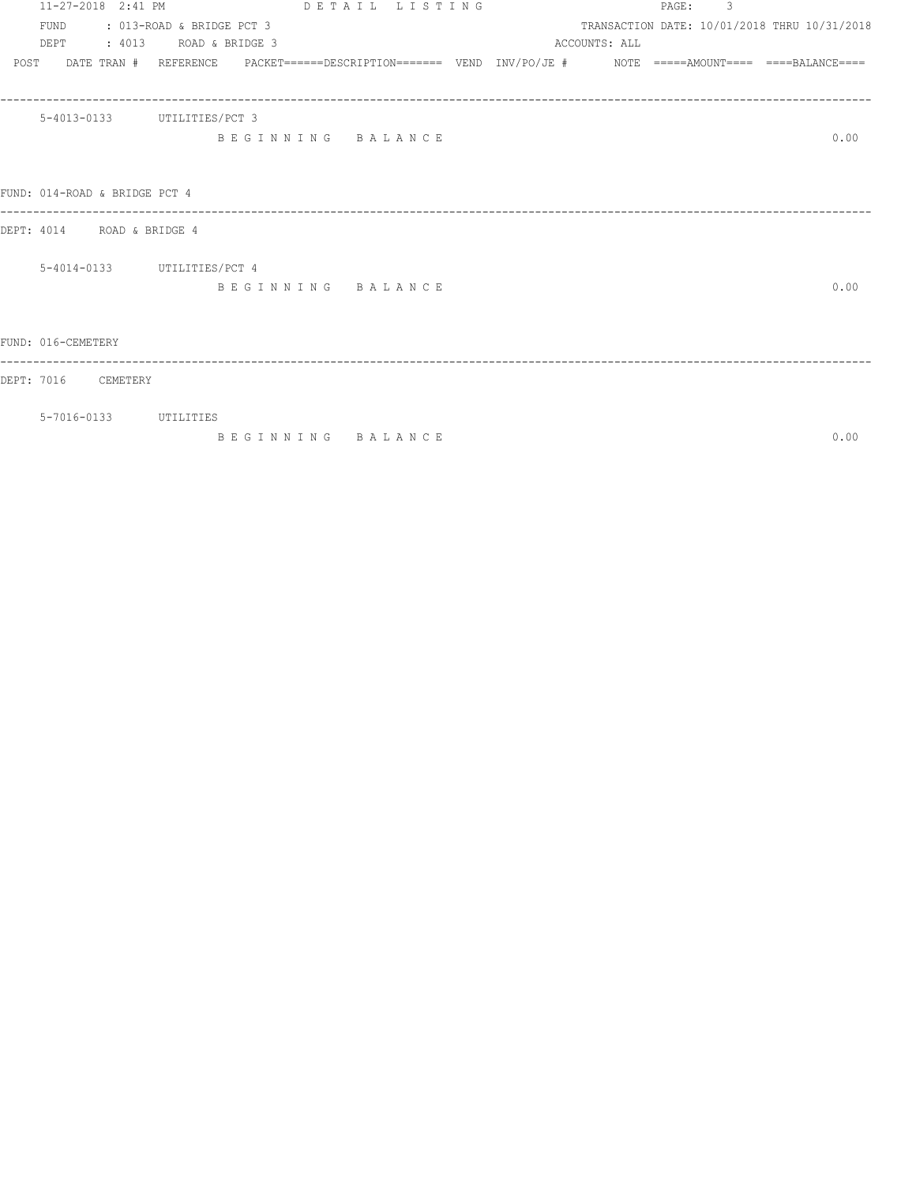|      | 11-27-2018 2:41 PM            |                                                                                                            | DETAIL LISTING    |  |               | PAGE: 3 |                                              |
|------|-------------------------------|------------------------------------------------------------------------------------------------------------|-------------------|--|---------------|---------|----------------------------------------------|
|      |                               | FUND : 013-ROAD & BRIDGE PCT 3<br>DEPT : 4013 ROAD & BRIDGE 3                                              |                   |  | ACCOUNTS: ALL |         | TRANSACTION DATE: 10/01/2018 THRU 10/31/2018 |
| POST |                               | DATE TRAN # REFERENCE PACKET======DESCRIPTION======= VEND INV/PO/JE # NOTE =====AMOUNT==== ====BALANCE==== |                   |  |               |         |                                              |
|      |                               |                                                                                                            |                   |  |               |         |                                              |
|      | 5-4013-0133 UTILITIES/PCT 3   |                                                                                                            |                   |  |               |         |                                              |
|      |                               |                                                                                                            | BEGINNING BALANCE |  |               |         | 0.00                                         |
|      |                               |                                                                                                            |                   |  |               |         |                                              |
|      | FUND: 014-ROAD & BRIDGE PCT 4 |                                                                                                            |                   |  |               |         |                                              |
|      | DEPT: 4014 ROAD & BRIDGE 4    |                                                                                                            |                   |  |               |         |                                              |
|      | 5-4014-0133 UTILITIES/PCT 4   |                                                                                                            |                   |  |               |         |                                              |
|      |                               |                                                                                                            | BEGINNING BALANCE |  |               |         | 0.00                                         |
|      |                               |                                                                                                            |                   |  |               |         |                                              |
|      | FUND: 016-CEMETERY            |                                                                                                            |                   |  |               |         |                                              |
|      | DEPT: 7016 CEMETERY           |                                                                                                            |                   |  |               |         |                                              |
|      |                               |                                                                                                            |                   |  |               |         |                                              |

5-7016-0133 UTILITIES

B E G I N N I N G B A L A N C E 0.00